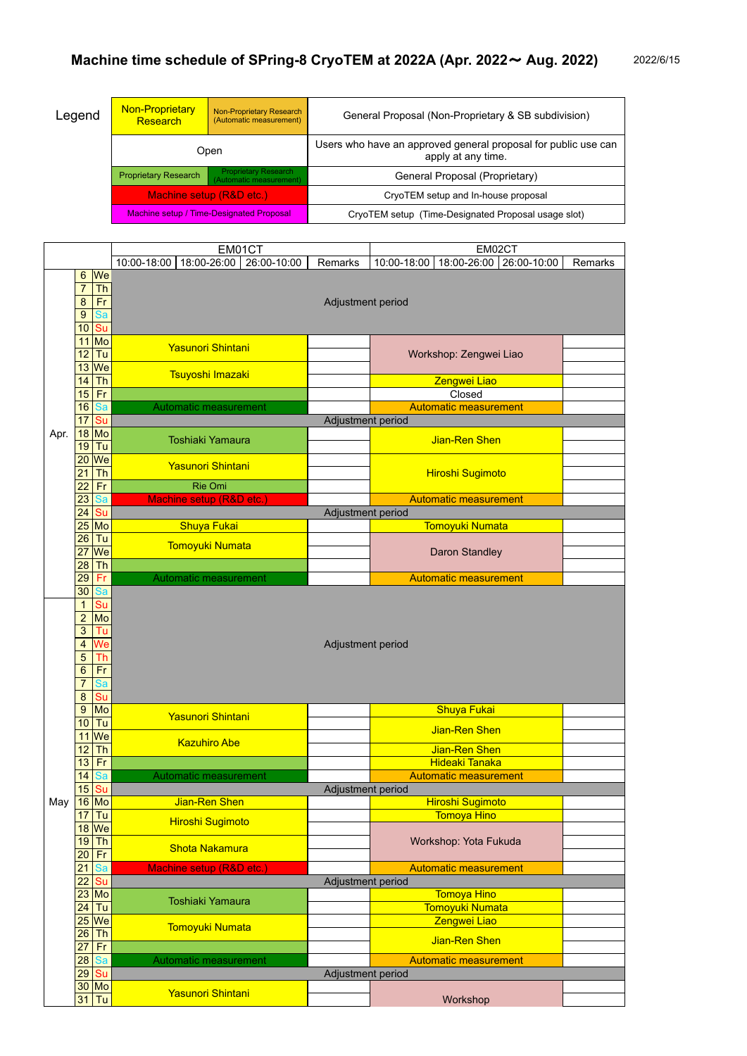| Legend | <b>Non-Proprietary</b><br>Research                                   | Non-Proprietary Research<br>(Automatic measurement)    | General Proposal (Non-Proprietary & SB subdivision)                                  |  |
|--------|----------------------------------------------------------------------|--------------------------------------------------------|--------------------------------------------------------------------------------------|--|
|        | Open                                                                 |                                                        | Users who have an approved general proposal for public use can<br>apply at any time. |  |
|        | <b>Proprietary Research</b>                                          | <b>Proprietary Research</b><br>(Automatic measurement) | General Proposal (Proprietary)                                                       |  |
|        | Machine setup (R&D etc.)<br>Machine setup / Time-Designated Proposal |                                                        | CryoTEM setup and In-house proposal                                                  |  |
|        |                                                                      |                                                        | CryoTEM setup (Time-Designated Proposal usage slot)                                  |  |

|      |                  |                                   | EM01CT                                    |                   | EM02CT                                   |                |  |  |  |  |
|------|------------------|-----------------------------------|-------------------------------------------|-------------------|------------------------------------------|----------------|--|--|--|--|
|      |                  |                                   | 18:00-26:00<br>10:00-18:00<br>26:00-10:00 | Remarks           | 10:00-18:00<br>18:00-26:00   26:00-10:00 | <b>Remarks</b> |  |  |  |  |
|      | $6\phantom{1}$   | $\mathsf{W}\mathsf{e}$            |                                           |                   |                                          |                |  |  |  |  |
|      | $\overline{7}$   | <b>Th</b>                         |                                           |                   |                                          |                |  |  |  |  |
|      | $\bf 8$          | Fr                                |                                           | Adjustment period |                                          |                |  |  |  |  |
|      | $9\,$            | Sa                                |                                           |                   |                                          |                |  |  |  |  |
|      | 10               | Su                                |                                           |                   |                                          |                |  |  |  |  |
|      | 11               | Mo                                |                                           |                   |                                          |                |  |  |  |  |
|      | 12               | Tu                                | <b>Yasunori Shintani</b>                  |                   | Workshop: Zengwei Liao                   |                |  |  |  |  |
|      | 13               | We                                |                                           |                   |                                          |                |  |  |  |  |
|      | 14               | <b>Th</b>                         | Tsuyoshi Imazaki                          |                   | Zengwei Liao                             |                |  |  |  |  |
|      | 15               | Fr                                |                                           |                   | Closed                                   |                |  |  |  |  |
|      | 16               | Sa                                | Automatic measurement                     |                   | <b>Automatic measurement</b>             |                |  |  |  |  |
|      | 17               | Su                                |                                           | Adjustment period |                                          |                |  |  |  |  |
| Apr. | 18               | Mo                                |                                           |                   |                                          |                |  |  |  |  |
|      | 19               | Tu                                | <b>Toshiaki Yamaura</b>                   |                   | Jian-Ren Shen                            |                |  |  |  |  |
|      | 20               | $\overline{\mathsf{We}}$          |                                           |                   |                                          |                |  |  |  |  |
|      | 21               | <b>Th</b>                         | <b>Yasunori Shintani</b>                  |                   | <b>Hiroshi Sugimoto</b>                  |                |  |  |  |  |
|      | $\overline{22}$  | Fr                                | <b>Rie Omi</b>                            |                   |                                          |                |  |  |  |  |
|      | 23               | Sa                                | Machine setup (R&D etc.)                  |                   | <b>Automatic measurement</b>             |                |  |  |  |  |
|      | 24               | Su                                |                                           | Adjustment period |                                          |                |  |  |  |  |
|      | 25               | Mo                                | <b>Shuya Fukai</b>                        |                   | Tomoyuki Numata                          |                |  |  |  |  |
|      | 26               | $\overline{T}u$                   |                                           |                   |                                          |                |  |  |  |  |
|      | 27               | We                                | <b>Tomoyuki Numata</b>                    |                   | <b>Daron Standley</b>                    |                |  |  |  |  |
|      | 28               | <b>Th</b>                         |                                           |                   |                                          |                |  |  |  |  |
|      | 29               | Fr                                | <b>Automatic measurement</b>              |                   | <b>Automatic measurement</b>             |                |  |  |  |  |
|      | 30               | Sa                                |                                           |                   |                                          |                |  |  |  |  |
|      | $\mathbf 1$      | Su                                |                                           |                   |                                          |                |  |  |  |  |
|      | $\overline{2}$   | Mo                                |                                           |                   |                                          |                |  |  |  |  |
|      | 3                | Tu                                |                                           |                   |                                          |                |  |  |  |  |
|      | 4                | We                                | Adjustment period                         |                   |                                          |                |  |  |  |  |
|      | 5                | Th                                |                                           |                   |                                          |                |  |  |  |  |
|      | $6\phantom{1}$   | Fr                                |                                           |                   |                                          |                |  |  |  |  |
|      | $\overline{7}$   | Sa                                |                                           |                   |                                          |                |  |  |  |  |
|      | $\bf 8$          | $\overline{\mathsf{S}\mathsf{u}}$ |                                           |                   |                                          |                |  |  |  |  |
|      | $\boldsymbol{9}$ | Mo                                |                                           |                   | <b>Shuya Fukai</b>                       |                |  |  |  |  |
|      | 10               | Tu                                | <b>Yasunori Shintani</b>                  |                   |                                          |                |  |  |  |  |
|      | 11               | $\sqrt{we}$                       |                                           |                   | Jian-Ren Shen                            |                |  |  |  |  |
|      | 12               | Th                                | <b>Kazuhiro Abe</b>                       |                   | Jian-Ren Shen                            |                |  |  |  |  |
|      | 13               | Fr                                |                                           |                   | <b>Hideaki Tanaka</b>                    |                |  |  |  |  |
|      | 14               | Sa                                | Automatic measurement                     |                   | <b>Automatic measurement</b>             |                |  |  |  |  |
|      | 15               | Su                                |                                           | Adjustment period |                                          |                |  |  |  |  |
| May  | 16               | Mo                                | Jian-Ren Shen                             |                   | Hiroshi Sugimoto                         |                |  |  |  |  |
|      | 17               | Tu                                |                                           |                   | <b>Tomoya Hino</b>                       |                |  |  |  |  |
|      | 18               | We                                | <b>Hiroshi Sugimoto</b>                   |                   |                                          |                |  |  |  |  |
|      | 19               | <b>Th</b>                         |                                           |                   | Workshop: Yota Fukuda                    |                |  |  |  |  |
|      | 20               | Fr                                | <b>Shota Nakamura</b>                     |                   |                                          |                |  |  |  |  |
|      | $\overline{21}$  | Sa                                | Machine setup (R&D etc.)                  |                   | <b>Automatic measurement</b>             |                |  |  |  |  |
|      | $\overline{22}$  | Su                                |                                           | Adjustment period |                                          |                |  |  |  |  |
|      | 23               | Mo                                |                                           |                   | <b>Tomoya Hino</b>                       |                |  |  |  |  |
|      | 24               | Tu                                | <b>Toshiaki Yamaura</b>                   |                   | <b>Tomoyuki Numata</b>                   |                |  |  |  |  |
|      | 25               | We                                |                                           |                   | Zengwei Liao                             |                |  |  |  |  |
|      | 26               | <b>Th</b>                         | <b>Tomoyuki Numata</b>                    |                   |                                          |                |  |  |  |  |
|      | 27               | Fr                                |                                           |                   | Jian-Ren Shen                            |                |  |  |  |  |
|      | 28               | Sa                                | <b>Automatic measurement</b>              |                   | <b>Automatic measurement</b>             |                |  |  |  |  |
|      | 29               | Su                                |                                           | Adjustment period |                                          |                |  |  |  |  |
|      | 30               | Mo                                |                                           |                   |                                          |                |  |  |  |  |
|      | 31               | Tu                                | <b>Yasunori Shintani</b>                  |                   | Workshop                                 |                |  |  |  |  |